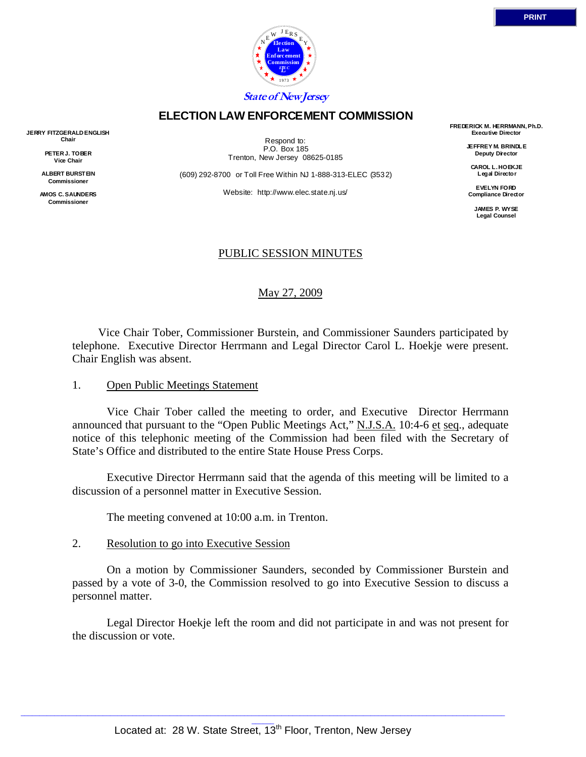

## **ELECTION LAW ENFORCEMENT COMMISSION**

**JERRY FITZGERALD ENGLISH Chair** 

> **PETER J. TOBER Vice Chair**

**ALBERT BURSTEIN Commissioner** 

**AMOS C. SAUNDERS Commissioner** 

Respond to: P.O. Box 185 Trenton, New Jersey 08625-0185

(609) 292-8700 or Toll Free Within NJ 1-888-313-ELEC (3532)

Website: http://www.elec.state.nj.us/

**FREDERICK M. HERRMANN, Ph.D. Executive Director** 

> **JEFFREY M. BRINDLE Deputy Director**

**CAROL L. HOEKJE Legal Director** 

**EVELYN FORD Compliance Director** 

> **JAMES P. WYSE Legal Counsel**

## PUBLIC SESSION MINUTES

May 27, 2009

 Vice Chair Tober, Commissioner Burstein, and Commissioner Saunders participated by telephone. Executive Director Herrmann and Legal Director Carol L. Hoekje were present. Chair English was absent.

#### 1. Open Public Meetings Statement

 Vice Chair Tober called the meeting to order, and Executive Director Herrmann announced that pursuant to the "Open Public Meetings Act," N.J.S.A. 10:4-6 et seq., adequate notice of this telephonic meeting of the Commission had been filed with the Secretary of State's Office and distributed to the entire State House Press Corps.

 Executive Director Herrmann said that the agenda of this meeting will be limited to a discussion of a personnel matter in Executive Session.

The meeting convened at 10:00 a.m. in Trenton.

## 2. Resolution to go into Executive Session

 On a motion by Commissioner Saunders, seconded by Commissioner Burstein and passed by a vote of 3-0, the Commission resolved to go into Executive Session to discuss a personnel matter.

 Legal Director Hoekje left the room and did not participate in and was not present for the discussion or vote.